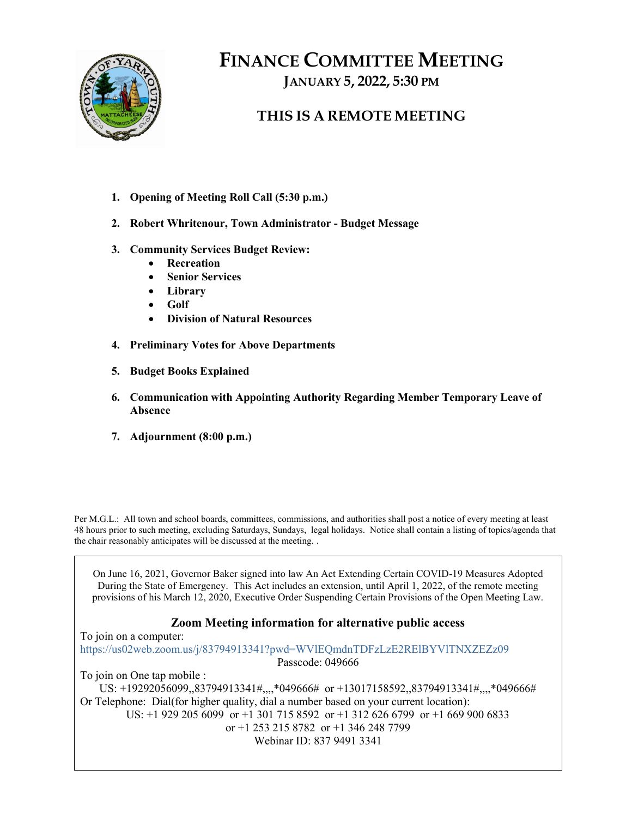

# FINANCE COMMITTEE MEETING

JANUARY 5, 2022, 5:30 PM

### THIS IS A REMOTE MEETING

- 1. Opening of Meeting Roll Call (5:30 p.m.)
- 2. Robert Whritenour, Town Administrator Budget Message
- 3. Community Services Budget Review:
	- Recreation
	- Senior Services
	- Library
	- Golf
	- Division of Natural Resources
- 4. Preliminary Votes for Above Departments
- 5. Budget Books Explained
- 6. Communication with Appointing Authority Regarding Member Temporary Leave of Absence
- 7. Adjournment (8:00 p.m.)

Per M.G.L.: All town and school boards, committees, commissions, and authorities shall post a notice of every meeting at least 48 hours prior to such meeting, excluding Saturdays, Sundays, legal holidays. Notice shall contain a listing of topics/agenda that the chair reasonably anticipates will be discussed at the meeting. .

On June 16, 2021, Governor Baker signed into law An Act Extending Certain COVID-19 Measures Adopted During the State of Emergency. This Act includes an extension, until April 1, 2022, of the remote meeting provisions of his March 12, 2020, Executive Order Suspending Certain Provisions of the Open Meeting Law.

### Zoom Meeting information for alternative public access

To join on a computer: https://us02web.zoom.us/j/83794913341?pwd=WVlEQmdnTDFzLzE2RElBYVlTNXZEZz09 Passcode: 049666

To join on One tap mobile :

US: +19292056099,,83794913341#,,,,\*049666# or +13017158592,,83794913341#,,,,\*049666# Or Telephone: Dial(for higher quality, dial a number based on your current location):

US: +1 929 205 6099 or +1 301 715 8592 or +1 312 626 6799 or +1 669 900 6833

or +1 253 215 8782 or +1 346 248 7799

Webinar ID: 837 9491 3341